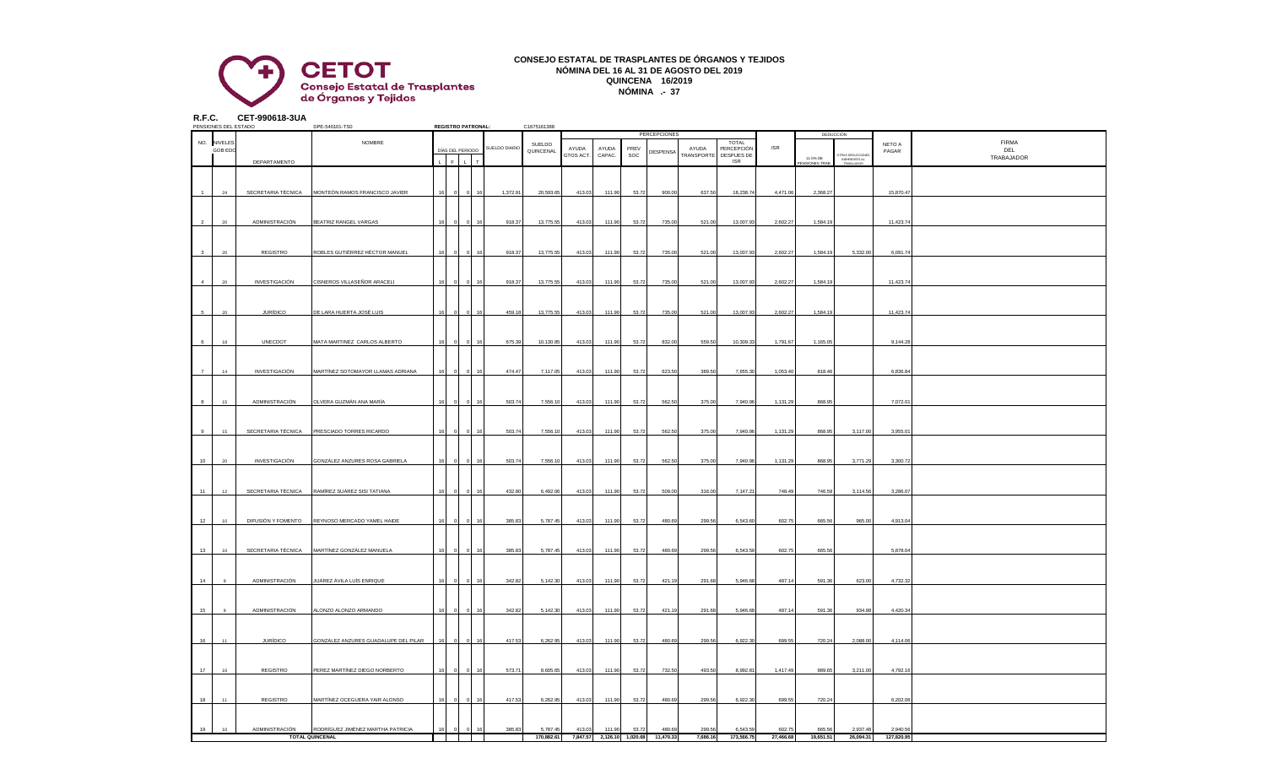

## **CONSEJO ESTATAL DE TRASPLANTES DE ÓRGANOS Y TEJIDOS NÓMINA DEL 16 AL 31 DE AGOSTO DEL 2019 QUINCENA 16/2019 NÓMINA .- 37**

**R.F.C. CET-990618-3UA**

|                | PENSIONES DEL ESTADO |                    | DPE-540101-TS0                       |    |   | <b>REGISTRO PATRONAL:</b>    |               | C1675161388 |                    |                 |             |                                      |                     |                          |            |                          |                                                |            |              |
|----------------|----------------------|--------------------|--------------------------------------|----|---|------------------------------|---------------|-------------|--------------------|-----------------|-------------|--------------------------------------|---------------------|--------------------------|------------|--------------------------|------------------------------------------------|------------|--------------|
|                |                      |                    |                                      |    |   |                              |               |             |                    |                 |             | <b>PERCEPCIONES</b>                  |                     |                          |            |                          | DEDUCCIÓN                                      |            |              |
|                | NO. NIVELES          |                    | NOMBRE                               |    |   |                              | SUELDO DIARIO | SUELDO      |                    |                 |             |                                      |                     | <b>TOTAL</b>             | <b>ISR</b> |                          |                                                | NETO A     | <b>FIRMA</b> |
|                | <b>GOB EDC</b>       |                    |                                      |    |   | DÍAS DEL PERIODO             |               | QUINCENAL   | AYUDA<br>GTOS ACT. | AYUDA<br>CAPAC. | PREV<br>SOC | DESPENSA                             | AYUDA<br>TRANSPORTE | PERCEPCIÓN<br>DESPUES DE |            |                          |                                                | PAGAR      | DEL          |
|                |                      | DEPARTAMENTO       |                                      |    | F | $\mathbf{L}$<br>$\mathbf{r}$ |               |             |                    |                 |             |                                      |                     | <b>ISR</b>               |            | 11.5% DE<br>NSIONES TRAB | TRAS DEDUCCIONE<br>INEHRENTES AL<br>TRABAJADOR |            | TRABAJADOR   |
|                |                      |                    |                                      |    |   |                              |               |             |                    |                 |             |                                      |                     |                          |            |                          |                                                |            |              |
|                |                      |                    |                                      |    |   |                              |               |             |                    |                 |             |                                      |                     |                          |            |                          |                                                |            |              |
|                |                      |                    |                                      |    |   |                              |               |             |                    |                 |             |                                      |                     |                          |            |                          |                                                |            |              |
|                | 24                   | SECRETARIA TÉCNICA | MONTEÓN RAMOS FRANCISCO JAVIER       |    |   |                              | 1,372.91      | 20,593.65   | 413.03             | 111.90          | 53.72       | 900.00                               | 637.50              | 18,238.74                | 4,471.06   | 2,368.27                 |                                                | 15,870.4   |              |
|                |                      |                    |                                      |    |   |                              |               |             |                    |                 |             |                                      |                     |                          |            |                          |                                                |            |              |
|                |                      |                    |                                      |    |   |                              |               |             |                    |                 |             |                                      |                     |                          |            |                          |                                                |            |              |
|                |                      |                    |                                      |    |   |                              |               |             |                    |                 |             |                                      |                     |                          |            |                          |                                                |            |              |
|                |                      |                    |                                      |    |   |                              |               |             |                    |                 |             |                                      |                     |                          |            |                          |                                                |            |              |
|                | 20                   | ADMINISTRACIÓN     | BEATRIZ RANGEL VARGAS                |    |   |                              | 918.37        | 13,775.5    | 413.03             | 111.90          | 53.72       | 735.00                               | 521.00              | 13,007.93                | 2,602.27   | 1,584.19                 |                                                | 11,423.7   |              |
|                |                      |                    |                                      |    |   |                              |               |             |                    |                 |             |                                      |                     |                          |            |                          |                                                |            |              |
|                |                      |                    |                                      |    |   |                              |               |             |                    |                 |             |                                      |                     |                          |            |                          |                                                |            |              |
|                |                      |                    |                                      |    |   |                              |               |             |                    |                 |             |                                      |                     |                          |            |                          |                                                |            |              |
|                | 20                   | REGISTRO           | ROBLES GUTIÉRREZ HÉCTOR MANUEL       | 16 |   |                              | 918.37        | 13,775.55   | 413.03             | 111.90          | 53.72       | 735.00                               | 521.00              | 13,007.93                | 2,602.27   | 1,584.19                 | 5,332.00                                       | 6,091.74   |              |
|                |                      |                    |                                      |    |   |                              |               |             |                    |                 |             |                                      |                     |                          |            |                          |                                                |            |              |
|                |                      |                    |                                      |    |   |                              |               |             |                    |                 |             |                                      |                     |                          |            |                          |                                                |            |              |
|                |                      |                    |                                      |    |   |                              |               |             |                    |                 |             |                                      |                     |                          |            |                          |                                                |            |              |
| $\overline{a}$ | 20                   | INVESTIGACIÓN      | CISNEROS VILLASEÑOR ARACELI          | 16 |   |                              | 918.37        | 13,775.55   | 413.03             | 111.90          | 53.72       | 735.00                               | 521.00              | 13,007.93                | 2,602.27   | 1,584.19                 |                                                | 11,423.74  |              |
|                |                      |                    |                                      |    |   |                              |               |             |                    |                 |             |                                      |                     |                          |            |                          |                                                |            |              |
|                |                      |                    |                                      |    |   |                              |               |             |                    |                 |             |                                      |                     |                          |            |                          |                                                |            |              |
|                |                      |                    |                                      |    |   |                              |               |             |                    |                 |             |                                      |                     |                          |            |                          |                                                |            |              |
|                | $\infty$             | <b>JURÍDICO</b>    | <b>DE LARA HUERTA JOSÉ LUIS</b>      |    |   |                              | 459.18        | 13,775.5    | 413.03             | 111.90          | 53.72       | 735.00                               | 521.00              | 13,007.93                | 2,602.27   | 1,584.19                 |                                                | 11,423.7   |              |
|                |                      |                    |                                      |    |   |                              |               |             |                    |                 |             |                                      |                     |                          |            |                          |                                                |            |              |
|                |                      |                    |                                      |    |   |                              |               |             |                    |                 |             |                                      |                     |                          |            |                          |                                                |            |              |
|                |                      |                    |                                      |    |   |                              |               |             |                    |                 |             |                                      |                     |                          |            |                          |                                                |            |              |
| 6              | 18                   | UNECDOT            | MATA MARTINEZ CARLOS ALBERTO         | 16 |   |                              | 675.39        | 10,130.85   | 413.03             | 111.90          | 53.72       | 832.00                               | 559.50              | 10,309.33                | 1,791.67   | 1,165.0                  |                                                | 9,144.2    |              |
|                |                      |                    |                                      |    |   |                              |               |             |                    |                 |             |                                      |                     |                          |            |                          |                                                |            |              |
|                |                      |                    |                                      |    |   |                              |               |             |                    |                 |             |                                      |                     |                          |            |                          |                                                |            |              |
|                |                      |                    |                                      |    |   |                              |               |             |                    |                 |             |                                      |                     |                          |            |                          |                                                |            |              |
| $\overline{7}$ | 14                   | INVESTIGACIÓN      | MARTÍNEZ SOTOMAYOR LLAMAS ADRIANA    | 16 |   | 16                           | 474.47        | 7,117.05    | 413.03             | 111.90          | 53.72       | 623.50                               | 389.50              | 7,655.30                 | 1,053.40   | 818.46                   |                                                | 6,836.8    |              |
|                |                      |                    |                                      |    |   |                              |               |             |                    |                 |             |                                      |                     |                          |            |                          |                                                |            |              |
|                |                      |                    |                                      |    |   |                              |               |             |                    |                 |             |                                      |                     |                          |            |                          |                                                |            |              |
|                |                      |                    |                                      |    |   |                              |               |             |                    |                 |             |                                      |                     |                          |            |                          |                                                |            |              |
|                | 15                   | ADMINISTRACIÓN     | OLVERA GUZMÁN ANA MARÍA              |    |   |                              | 503.74        | 7,556.10    | 413.03             | 111.90          | 53.72       | 562.50                               | 375.00              | 7,940.96                 | 1,131.29   | 868.95                   |                                                | 7,072.0    |              |
|                |                      |                    |                                      |    |   |                              |               |             |                    |                 |             |                                      |                     |                          |            |                          |                                                |            |              |
|                |                      |                    |                                      |    |   |                              |               |             |                    |                 |             |                                      |                     |                          |            |                          |                                                |            |              |
|                |                      |                    |                                      |    |   |                              |               |             |                    |                 |             |                                      |                     |                          |            |                          |                                                |            |              |
| 9              | 15                   | SECRETARIA TÉCNICA | PRESCIADO TORRES RICARDO             |    |   |                              | 503.74        | 7,556.10    | 413.03             | 111.90          | 53.72       | 562.50                               | 375.00              | 7,940.96                 | 1,131.2    | 868.95                   | 3,117.00                                       | 3,955.0    |              |
|                |                      |                    |                                      |    |   |                              |               |             |                    |                 |             |                                      |                     |                          |            |                          |                                                |            |              |
|                |                      |                    |                                      |    |   |                              |               |             |                    |                 |             |                                      |                     |                          |            |                          |                                                |            |              |
|                |                      |                    |                                      |    |   |                              |               |             |                    |                 |             |                                      |                     |                          |            |                          |                                                |            |              |
| 10             | 20                   | INVESTIGACIÓN      | GONZÁLEZ ANZURES ROSA GABRIELA       |    |   |                              | 503.74        | 7,556.10    | 413.03             | 111.90          | 53.72       | 562.50                               | 375.00              | 7,940.96                 | 1,131.29   | 868.95                   | 3,771.29                                       | 3,300.72   |              |
|                |                      |                    |                                      |    |   |                              |               |             |                    |                 |             |                                      |                     |                          |            |                          |                                                |            |              |
|                |                      |                    |                                      |    |   |                              |               |             |                    |                 |             |                                      |                     |                          |            |                          |                                                |            |              |
|                |                      |                    |                                      |    |   |                              |               |             |                    |                 |             |                                      |                     |                          |            |                          |                                                |            |              |
| 11             | 12                   | SECRETARIA TÉCNICA | RAMÍREZ SUÁREZ SISI TATIANA          | 16 |   |                              | 432.80        | 6,492.06    | 413.03             | 111.90          | 53.72       | 509.00                               | 316.00              | 7,147.21                 | 748.49     | 746.59                   | 3,114.56                                       | 3,286.07   |              |
|                |                      |                    |                                      |    |   |                              |               |             |                    |                 |             |                                      |                     |                          |            |                          |                                                |            |              |
|                |                      |                    |                                      |    |   |                              |               |             |                    |                 |             |                                      |                     |                          |            |                          |                                                |            |              |
|                |                      |                    |                                      |    |   |                              |               |             |                    |                 |             |                                      |                     |                          |            |                          |                                                |            |              |
| 12             | $10 -$               | DIFUSIÓN Y FOMENTO | REYNOSO MERCADO YAMEL HAIDE          | 16 |   |                              | 385.83        | 5,787.45    | 413.03             | 111.90          | 53.72       | 480.69                               | 299.56              | 6,543.60                 | 602.75     | 665.56                   | 965.00                                         | 4,913.0    |              |
|                |                      |                    |                                      |    |   |                              |               |             |                    |                 |             |                                      |                     |                          |            |                          |                                                |            |              |
|                |                      |                    |                                      |    |   |                              |               |             |                    |                 |             |                                      |                     |                          |            |                          |                                                |            |              |
|                |                      |                    |                                      |    |   |                              |               |             |                    |                 |             |                                      |                     |                          |            |                          |                                                |            |              |
| 13             | 10                   | SECRETARIA TÉCNICA | MARTÍNEZ GONZÁLEZ MANUELA            |    |   |                              | 385.83        | 5,787.4     | 413.03             | 111.90          | 53.72       | 480.69                               | 299.56              | 6,543.59                 | 602.75     | 665.5                    |                                                | 5,878.0    |              |
|                |                      |                    |                                      |    |   |                              |               |             |                    |                 |             |                                      |                     |                          |            |                          |                                                |            |              |
|                |                      |                    |                                      |    |   |                              |               |             |                    |                 |             |                                      |                     |                          |            |                          |                                                |            |              |
|                |                      |                    |                                      |    |   |                              |               |             |                    |                 |             |                                      |                     |                          |            |                          |                                                |            |              |
| 14             |                      | ADMINISTRACIÓN     | JUÁREZ ÁVILA LUÍS ENRIQUE            |    |   |                              | 342.82        | 5,142.30    | 413.03             | 111.90          | 53.72       | 421.19                               | 291.68              | 5,946.68                 | 487.14     | 591.36                   | 623.00                                         | 4,732.3    |              |
|                |                      |                    |                                      |    |   |                              |               |             |                    |                 |             |                                      |                     |                          |            |                          |                                                |            |              |
|                |                      |                    |                                      |    |   |                              |               |             |                    |                 |             |                                      |                     |                          |            |                          |                                                |            |              |
|                |                      |                    |                                      |    |   |                              |               |             |                    |                 |             |                                      |                     |                          |            |                          |                                                |            |              |
| 15             | $\alpha$             | ADMINISTRACIÓN     | ALONZO ALONZO ARMANDO                | 16 |   |                              | 342.82        | 5,142.30    | 413.03             | 111.90          | 53.72       | 421.19                               | 291.68              | 5,946.68                 | 487.14     | 591.36                   | 934.98                                         | 4,420.34   |              |
|                |                      |                    |                                      |    |   |                              |               |             |                    |                 |             |                                      |                     |                          |            |                          |                                                |            |              |
|                |                      |                    |                                      |    |   |                              |               |             |                    |                 |             |                                      |                     |                          |            |                          |                                                |            |              |
|                |                      |                    |                                      |    |   |                              |               |             |                    |                 |             |                                      |                     |                          |            |                          |                                                |            |              |
| 16             | 11                   | <b>JURÍDICO</b>    | GONZÁLEZ ANZURES GUADALUPE DEL PILAR |    |   |                              | 417.53        | 6,262.95    | 413.03             | 111.90          | 53.72       | 480.69                               | 299.56              | 6,922.30                 | 699.55     | 720.24                   | 2,088.00                                       | 4,114.06   |              |
|                |                      |                    |                                      |    |   |                              |               |             |                    |                 |             |                                      |                     |                          |            |                          |                                                |            |              |
|                |                      |                    |                                      |    |   |                              |               |             |                    |                 |             |                                      |                     |                          |            |                          |                                                |            |              |
|                |                      |                    |                                      |    |   |                              |               |             |                    |                 |             |                                      |                     |                          |            |                          |                                                |            |              |
| 17             | 16                   | REGISTRO           | PEREZ MARTÍNEZ DIEGO NORBERTO        | 16 |   |                              | 573.71        | 8,605.6     | 413.03             | 111.90          | 53.72       | 732.5                                | 493.50              | 8,992.8                  | 1,417.49   | 989.65                   | 3,211.00                                       | 4,792.1    |              |
|                |                      |                    |                                      |    |   |                              |               |             |                    |                 |             |                                      |                     |                          |            |                          |                                                |            |              |
|                |                      |                    |                                      |    |   |                              |               |             |                    |                 |             |                                      |                     |                          |            |                          |                                                |            |              |
|                |                      |                    |                                      |    |   |                              |               |             |                    |                 |             |                                      |                     |                          |            |                          |                                                |            |              |
| 18             | 11                   | REGISTRO           | MARTÍNEZ OCEGUERA YAIR ALONSO        | 16 |   |                              | 417.53        | 6,262.95    | 413.03             | 111.90          | 53.72       | 480.69                               | 299.56              | 6,922.30                 | 699.55     | 720.24                   |                                                | 6,202.06   |              |
|                |                      |                    |                                      |    |   |                              |               |             |                    |                 |             |                                      |                     |                          |            |                          |                                                |            |              |
|                |                      |                    |                                      |    |   |                              |               |             |                    |                 |             |                                      |                     |                          |            |                          |                                                |            |              |
|                |                      |                    |                                      |    |   |                              |               |             |                    |                 |             |                                      |                     |                          |            |                          |                                                |            |              |
| 19             | 10                   | ADMINISTRACIÓN     | RODRÍGUEZ JIMÉNEZ MARTHA PATRICIA    | 16 |   |                              | 385.83        | 5,787.45    | 413.03             | 111.90          | 53.72       | 480.69                               | 299.56              | 6,543.59                 | 602.75     | 665.56                   | 2,937.48                                       | 2.940.56   |              |
|                |                      |                    | <b>TOTAL QUINCENAL</b>               |    |   |                              |               | 170,882.61  |                    |                 |             | 7.847.57 2.126.10 1.020.68 11.470.33 | 7.686.16            | 173,566,75               | 27,466,68  | 19.651.51                | 26.094.31                                      | 127,820.95 |              |